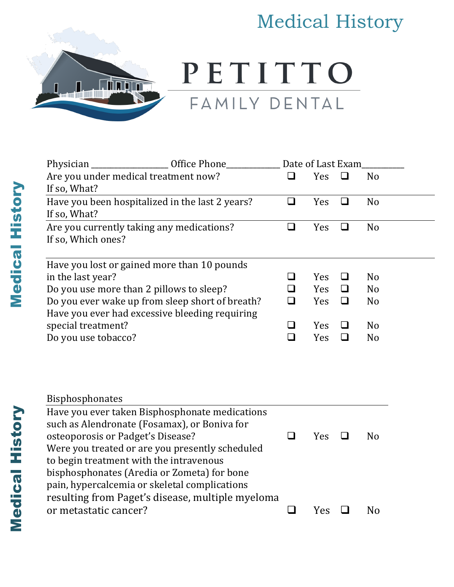## Medical History



PETITTO FAMILY DENTAL

| $\_$ Office Phone $\_$<br>Physician                                                            |        | Date of Last Exam |        |                |  |  |
|------------------------------------------------------------------------------------------------|--------|-------------------|--------|----------------|--|--|
| Are you under medical treatment now?                                                           | $\Box$ | Yes               | $\Box$ | N <sub>o</sub> |  |  |
| If so, What?                                                                                   |        |                   |        |                |  |  |
| Have you been hospitalized in the last 2 years?                                                | $\Box$ | Yes               | $\Box$ | N <sub>o</sub> |  |  |
| If so, What?                                                                                   |        |                   |        |                |  |  |
| Are you currently taking any medications?                                                      | $\Box$ | Yes               | $\Box$ | N <sub>o</sub> |  |  |
| If so, Which ones?                                                                             |        |                   |        |                |  |  |
| Have you lost or gained more than 10 pounds                                                    |        |                   |        |                |  |  |
| in the last year?                                                                              | ❏      | Yes               | $\Box$ | N <sub>o</sub> |  |  |
| Do you use more than 2 pillows to sleep?                                                       | $\Box$ | Yes               | ❏      | N <sub>o</sub> |  |  |
| Do you ever wake up from sleep short of breath?                                                | $\Box$ | Yes               | $\Box$ | N <sub>o</sub> |  |  |
| Have you ever had excessive bleeding requiring                                                 |        |                   |        |                |  |  |
| special treatment?                                                                             | ❏      | Yes               | ❏      | N <sub>o</sub> |  |  |
| Do you use tobacco?                                                                            | $\Box$ | Yes               | $\Box$ | N <sub>o</sub> |  |  |
| Bisphosphonates                                                                                |        |                   |        |                |  |  |
| Have you ever taken Bisphosphonate medications<br>such as Alendronate (Fosamax), or Boniva for |        |                   |        |                |  |  |
| osteoporosis or Padget's Disease?                                                              | $\Box$ | Yes               | ❏      | N <sub>o</sub> |  |  |
| Were you treated or are you presently scheduled                                                |        |                   |        |                |  |  |
| to begin treatment with the intravenous                                                        |        |                   |        |                |  |  |
| bisphosphonates (Aredia or Zometa) for bone                                                    |        |                   |        |                |  |  |
| pain, hypercalcemia or skeletal complications                                                  |        |                   |        |                |  |  |
| resulting from Paget's disease, multiple myeloma                                               |        |                   |        |                |  |  |
| or metastatic cancer?                                                                          | $\Box$ | Yes               | $\Box$ | N <sub>o</sub> |  |  |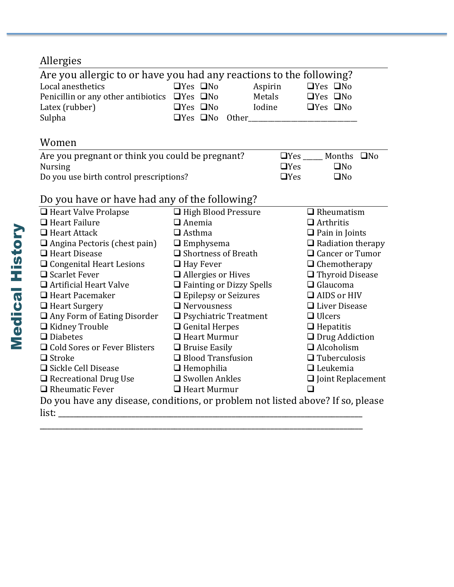## Allergies

| Are you allergic to or have you had any reactions to the following?<br>Local anesthetics<br>Penicillin or any other antibiotics $\Box$ Yes $\Box$ No<br>Latex (rubber)<br>Sulpha | $\Box$ Yes $\Box$ No<br>Aspirin<br>Metals<br>Iodine<br>$\Box$ Yes $\Box$ No<br>$\Box$ Yes $\Box$ No<br><b>Other</b> and the state of the state of the state of the state of the state of the state of the state of the state of the state of the state of the state of the state of the state of the state of the state of the state of th |                          | $\Box$ Yes $\Box$ No<br>$\Box$ Yes $\Box$ No<br>$\Box$ Yes $\Box$ No |  |  |  |  |
|----------------------------------------------------------------------------------------------------------------------------------------------------------------------------------|--------------------------------------------------------------------------------------------------------------------------------------------------------------------------------------------------------------------------------------------------------------------------------------------------------------------------------------------|--------------------------|----------------------------------------------------------------------|--|--|--|--|
| Women                                                                                                                                                                            |                                                                                                                                                                                                                                                                                                                                            |                          |                                                                      |  |  |  |  |
| Are you pregnant or think you could be pregnant?                                                                                                                                 | Months ONo                                                                                                                                                                                                                                                                                                                                 |                          |                                                                      |  |  |  |  |
| <b>Nursing</b>                                                                                                                                                                   |                                                                                                                                                                                                                                                                                                                                            | $\Box$ Yes               | $\square$ No                                                         |  |  |  |  |
| Do you use birth control prescriptions?                                                                                                                                          |                                                                                                                                                                                                                                                                                                                                            | $\Box$ Yes               | $\square$ No                                                         |  |  |  |  |
| Do you have or have had any of the following?                                                                                                                                    |                                                                                                                                                                                                                                                                                                                                            |                          |                                                                      |  |  |  |  |
| □ Heart Valve Prolapse                                                                                                                                                           | □ High Blood Pressure                                                                                                                                                                                                                                                                                                                      |                          | $\Box$ Rheumatism                                                    |  |  |  |  |
| $\Box$ Heart Failure                                                                                                                                                             | $\Box$ Anemia                                                                                                                                                                                                                                                                                                                              | $\Box$ Arthritis         |                                                                      |  |  |  |  |
| $\Box$ Heart Attack                                                                                                                                                              | $\Box$ Asthma                                                                                                                                                                                                                                                                                                                              | $\Box$ Pain in Joints    |                                                                      |  |  |  |  |
| $\Box$ Angina Pectoris (chest pain)                                                                                                                                              | $\Box$ Emphysema                                                                                                                                                                                                                                                                                                                           | $\Box$ Radiation therapy |                                                                      |  |  |  |  |
| $\Box$ Heart Disease                                                                                                                                                             | $\Box$ Shortness of Breath                                                                                                                                                                                                                                                                                                                 |                          | $\Box$ Cancer or Tumor                                               |  |  |  |  |
| $\Box$ Congenital Heart Lesions                                                                                                                                                  | $\Box$ Hay Fever                                                                                                                                                                                                                                                                                                                           |                          | $\Box$ Chemotherapy                                                  |  |  |  |  |
| $\Box$ Scarlet Fever                                                                                                                                                             | $\Box$ Allergies or Hives                                                                                                                                                                                                                                                                                                                  |                          | □ Thyroid Disease                                                    |  |  |  |  |
| $\Box$ Artificial Heart Valve                                                                                                                                                    | □ Fainting or Dizzy Spells                                                                                                                                                                                                                                                                                                                 | $\Box$ Glaucoma          |                                                                      |  |  |  |  |
| $\Box$ Heart Pacemaker                                                                                                                                                           | $\Box$ Epilepsy or Seizures                                                                                                                                                                                                                                                                                                                | $\Box$ AIDS or HIV       |                                                                      |  |  |  |  |
| $\Box$ Heart Surgery                                                                                                                                                             | $\Box$ Nervousness                                                                                                                                                                                                                                                                                                                         | □ Liver Disease          |                                                                      |  |  |  |  |
| Any Form of Eating Disorder                                                                                                                                                      | $\Box$ Psychiatric Treatment                                                                                                                                                                                                                                                                                                               | $\Box$ Ulcers            |                                                                      |  |  |  |  |
| □ Kidney Trouble                                                                                                                                                                 | $\Box$ Genital Herpes                                                                                                                                                                                                                                                                                                                      | $\Box$ Hepatitis         |                                                                      |  |  |  |  |
| $\Box$ Diabetes                                                                                                                                                                  | $\Box$ Heart Murmur                                                                                                                                                                                                                                                                                                                        | $\Box$ Drug Addiction    |                                                                      |  |  |  |  |
| □ Cold Sores or Fever Blisters                                                                                                                                                   | $\Box$ Bruise Easily                                                                                                                                                                                                                                                                                                                       | $\Box$ Alcoholism        |                                                                      |  |  |  |  |
| $\Box$ Stroke                                                                                                                                                                    | $\Box$ Blood Transfusion                                                                                                                                                                                                                                                                                                                   | $\Box$ Tuberculosis      |                                                                      |  |  |  |  |
| □ Sickle Cell Disease                                                                                                                                                            | $\Box$ Hemophilia                                                                                                                                                                                                                                                                                                                          | $\Box$ Leukemia          |                                                                      |  |  |  |  |
| $\Box$ Recreational Drug Use                                                                                                                                                     | $\square$ Swollen Ankles                                                                                                                                                                                                                                                                                                                   | $\Box$ Joint Replacement |                                                                      |  |  |  |  |
| $\Box$ Rheumatic Fever                                                                                                                                                           | $\Box$ Heart Murmur                                                                                                                                                                                                                                                                                                                        | ∩                        |                                                                      |  |  |  |  |
| Do you have any disease, conditions, or problem not listed above? If so, please<br>list:                                                                                         |                                                                                                                                                                                                                                                                                                                                            |                          |                                                                      |  |  |  |  |